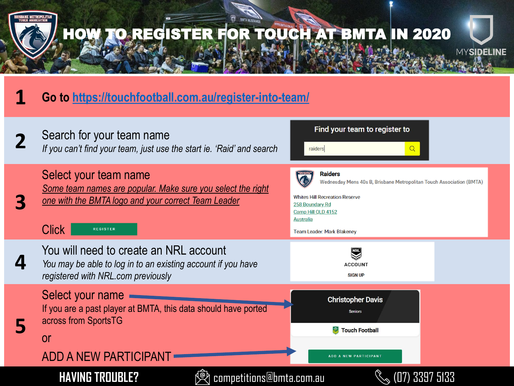



## **1 Go to <https://touchfootball.com.au/register-into-team/>**